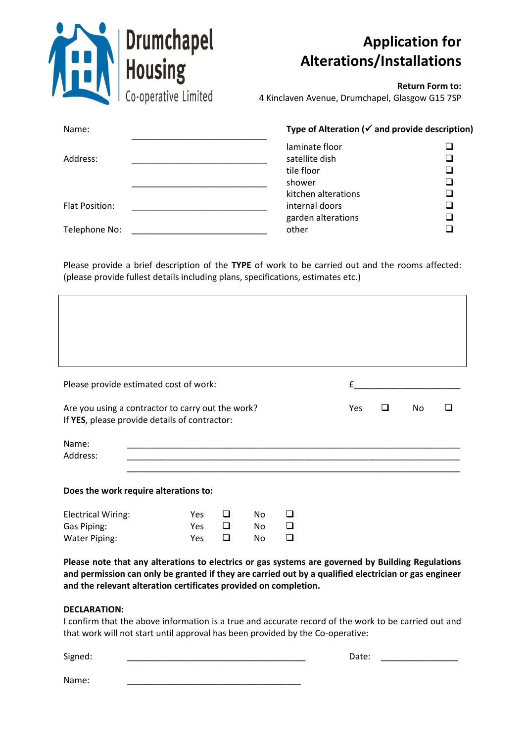| <b>Drumchapel</b><br><b>Housing</b> | <b>Alterations/Installations</b>                           | <b>Application for</b> |
|-------------------------------------|------------------------------------------------------------|------------------------|
| Co-operative Limited                | 4 Kinclaven Avenue, Drumchapel, Glasgow G15 7SP            | <b>Return Form to:</b> |
| Name:                               | Type of Alteration ( $\checkmark$ and provide description) |                        |
| Address:                            | laminate floor<br>satellite dish                           |                        |
|                                     | tile floor<br>shower                                       |                        |
|                                     | kitchen alterations                                        |                        |
| <b>Flat Position:</b>               | internal doors<br>garden alterations                       |                        |
| Telephone No:                       | other                                                      |                        |

Please provide a brief description of the **TYPE** of work to be carried out and the rooms affected: (please provide fullest details including plans, specifications, estimates etc.)

| Please provide estimated cost of work:                                                                                                                                                                                                                                         |            |        |           |   | £    |   |           |  |
|--------------------------------------------------------------------------------------------------------------------------------------------------------------------------------------------------------------------------------------------------------------------------------|------------|--------|-----------|---|------|---|-----------|--|
| Are you using a contractor to carry out the work?<br>If YES, please provide details of contractor:                                                                                                                                                                             |            |        |           |   | Yes. | ◻ | <b>No</b> |  |
| Name:<br>Address:                                                                                                                                                                                                                                                              |            |        |           |   |      |   |           |  |
| Does the work require alterations to:                                                                                                                                                                                                                                          |            |        |           |   |      |   |           |  |
| <b>Electrical Wiring:</b>                                                                                                                                                                                                                                                      | <b>Yes</b> | ◻      | No.       | □ |      |   |           |  |
| Gas Piping:                                                                                                                                                                                                                                                                    | <b>Yes</b> | $\Box$ | No.       | ◻ |      |   |           |  |
| <b>Water Piping:</b>                                                                                                                                                                                                                                                           | <b>Yes</b> | ❏      | <b>No</b> | ❏ |      |   |           |  |
| Please note that any alterations to electrics or gas systems are governed by Building Regulations<br>and permission can only be granted if they are carried out by a qualified electrician or gas engineer<br>and the relevant alteration certificates provided on completion. |            |        |           |   |      |   |           |  |
| <b>DECLARATION:</b>                                                                                                                                                                                                                                                            |            |        |           |   |      |   |           |  |

I confirm that the above information is a true and accurate record of the work to be carried out and that work will not start until approval has been provided by the Co-operative:

| Signed: | Date: |  |
|---------|-------|--|
|         |       |  |
| Name:   |       |  |